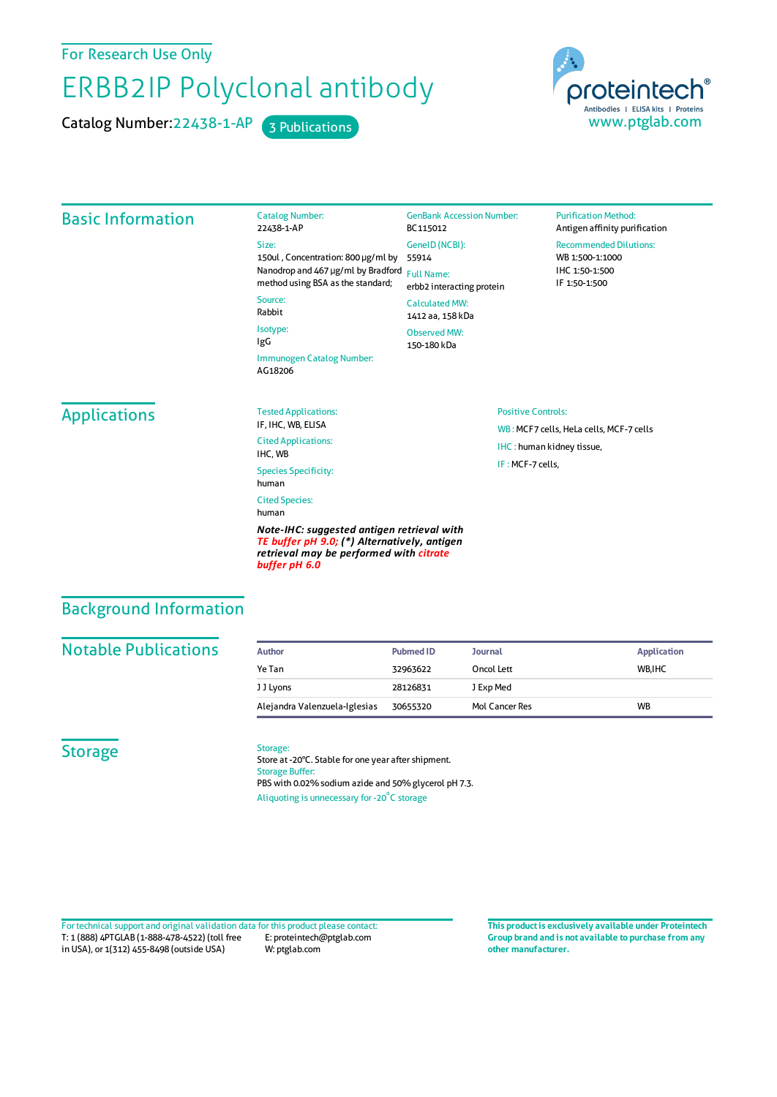For Research Use Only

# ERBB2IP Polyclonal antibody

Catalog Number: 22438-1-AP 3 Publications



#### Basic Information Catalog Number: 22438-1-AP Size: 150ul , Concentration: 800 μg/ml by 55914 Nanodrop and 467 μg/ml by Bradford Full Name: method using BSA as the standard; Source: Rabbit Isotype: IgG Immunogen Catalog Number: AG18206 GenBank Accession Number: BC115012 GeneID(NCBI): erbb2 interacting protein CalculatedMW: 1412 aa, 158 kDa Observed MW: 150-180 kDa **Purification Method:** Antigen affinity purification Recommended Dilutions: WB 1:500-1:1000 IHC 1:50-1:500 IF 1:50-1:500 **Applications** Tested Applications: IF, IHC, WB, ELISA Cited Applications: IHC, WB Species Specificity: human Cited Species: human *Note-IHC: suggested antigen retrieval with TE buffer pH 9.0; (\*) Alternatively, antigen retrieval may be performed with citrate* Positive Controls: WB : MCF7 cells, HeLa cells, MCF-7 cells IHC : human kidney tissue, IF :MCF-7 cells,

## Background Information

#### **Notable Publications**

|  | Author                        | <b>Pubmed ID</b> | <b>Journal</b> | <b>Application</b> |
|--|-------------------------------|------------------|----------------|--------------------|
|  | Ye Tan                        | 32963622         | Oncol Lett     | WB.IHC             |
|  | J J Lyons                     | 28126831         | J Exp Med      |                    |
|  | Alejandra Valenzuela-Iglesias | 30655320         | Mol Cancer Res | <b>WB</b>          |

#### **Storage**

#### Storage:

*buffer pH 6.0*

Store at -20°C. Stable for one year after shipment. Storage Buffer: PBS with 0.02% sodium azide and 50% glycerol pH 7.3. Aliquoting is unnecessary for -20<sup>°</sup>C storage

T: 1 (888) 4PTGLAB (1-888-478-4522) (toll free in USA), or 1(312) 455-8498 (outside USA) E: proteintech@ptglab.com W: ptglab.com Fortechnical support and original validation data forthis product please contact: **This productis exclusively available under Proteintech**

**Group brand and is not available to purchase from any other manufacturer.**